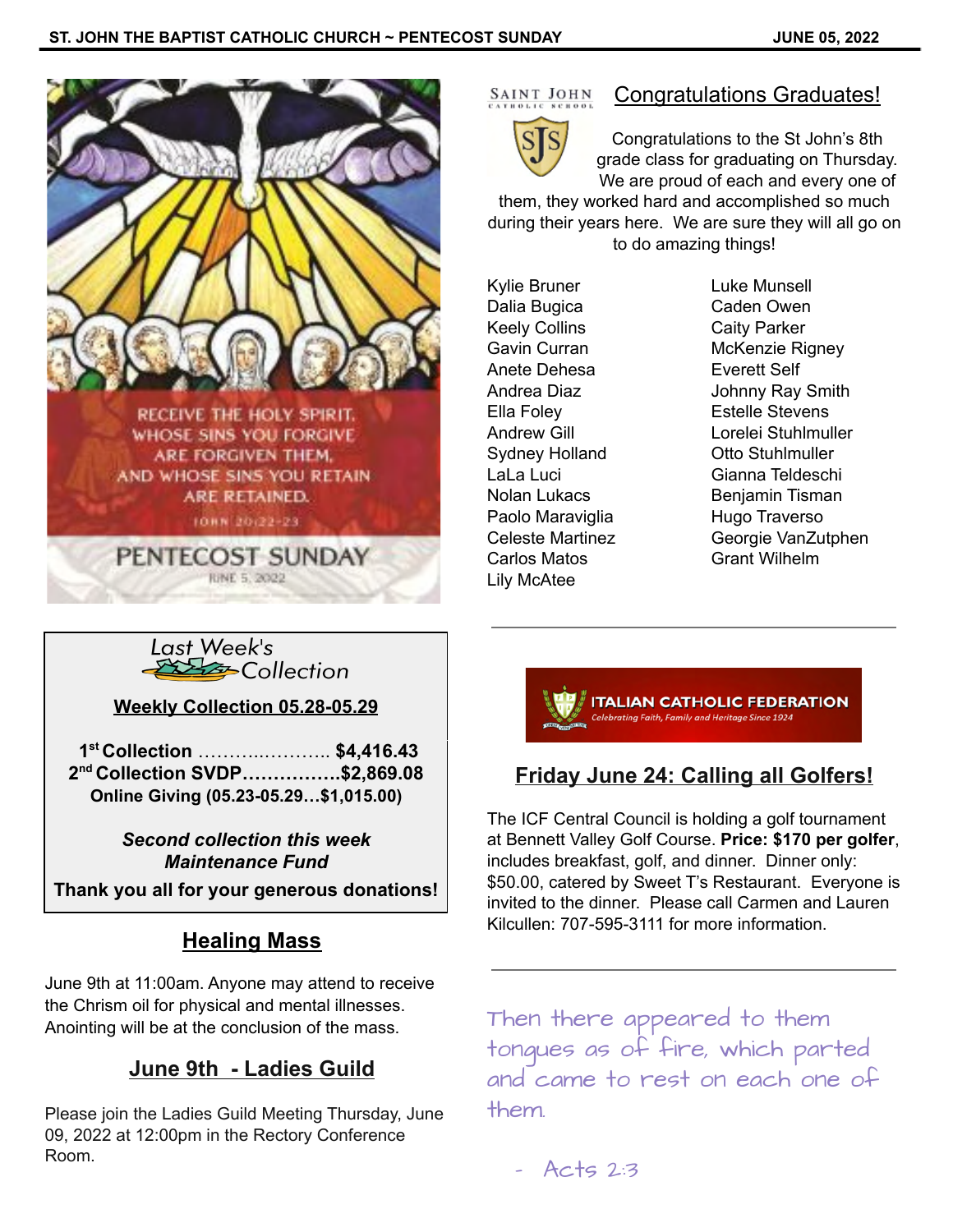

# SAINT JOHN



## Congratulations Graduates!

Congratulations to the St John's 8th grade class for graduating on Thursday. We are proud of each and every one of

them, they worked hard and accomplished so much during their years here. We are sure they will all go on to do amazing things!

Kylie Bruner Luke Munsell Dalia Bugica Caden Owen Keely Collins Caity Parker Anete Dehesa **Everett Self** Ella Foley **Estelle Stevens** Sydney Holland **Otto Stuhlmuller** Paolo Maraviglia **Hugo Traverso** Carlos Matos **Grant Wilhelm** Lily McAtee

Gavin Curran McKenzie Rigney Andrea Diaz **Johnny Ray Smith** Andrew Gill Lorelei Stuhlmuller LaLa Luci Gianna Teldeschi Nolan Lukacs Benjamin Tisman Celeste Martinez Georgie VanZutphen



**Weekly Collection 05.28-05.29**

**1 st Collection** ………..……….. **\$4,416.43 2 nd Collection SVDP…………….\$2,869.08 Online Giving (05.23-05.29…\$1,015.00)**

> *Second collection this week Maintenance Fund*

**Thank you all for your generous donations!**

# **Healing Mass**

June 9th at 11:00am. Anyone may attend to receive the Chrism oil for physical and mental illnesses. Anointing will be at the conclusion of the mass.

# **June 9th - Ladies Guild**

Please join the Ladies Guild Meeting Thursday, June 09, 2022 at 12:00pm in the Rectory Conference Room.



# **Friday June 24: Calling all Golfers!**

The ICF Central Council is holding a golf tournament at Bennett Valley Golf Course. **Price: \$170 per golfer**, includes breakfast, golf, and dinner. Dinner only: \$50.00, catered by Sweet T's Restaurant. Everyone is invited to the dinner. Please call Carmen and Lauren Kilcullen: 707-595-3111 for more information.

Then there appeared to them tongues as of fire, which parted and came to rest on each one of them.

 $-$  Acts 2:3